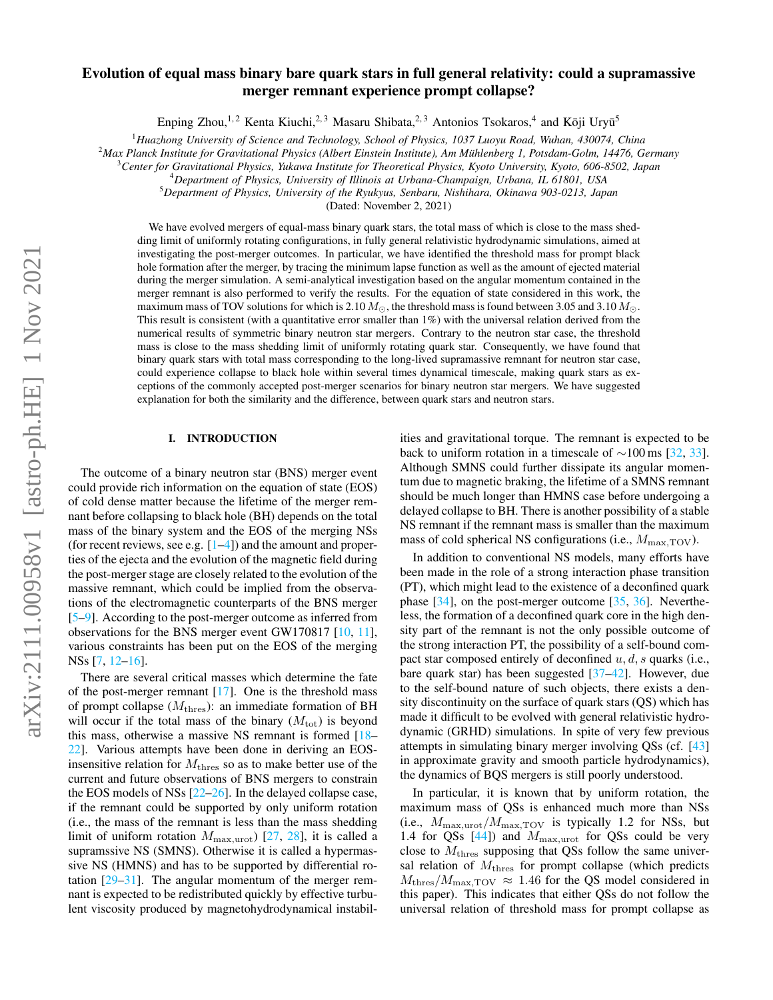# Evolution of equal mass binary bare quark stars in full general relativity: could a supramassive merger remnant experience prompt collapse?

Enping Zhou,<sup>1,2</sup> Kenta Kiuchi,<sup>2,3</sup> Masaru Shibata,<sup>2,3</sup> Antonios Tsokaros,<sup>4</sup> and Kōji Uryū<sup>5</sup>

<sup>1</sup>*Huazhong University of Science and Technology, School of Physics, 1037 Luoyu Road, Wuhan, 430074, China*

<sup>2</sup>*Max Planck Institute for Gravitational Physics (Albert Einstein Institute), Am Muhlenberg 1, Potsdam-Golm, 14476, Germany ¨*

<sup>3</sup>*Center for Gravitational Physics, Yukawa Institute for Theoretical Physics, Kyoto University, Kyoto, 606-8502, Japan*

<sup>4</sup>*Department of Physics, University of Illinois at Urbana-Champaign, Urbana, IL 61801, USA*

<sup>5</sup>*Department of Physics, University of the Ryukyus, Senbaru, Nishihara, Okinawa 903-0213, Japan*

(Dated: November 2, 2021)

We have evolved mergers of equal-mass binary quark stars, the total mass of which is close to the mass shedding limit of uniformly rotating configurations, in fully general relativistic hydrodynamic simulations, aimed at investigating the post-merger outcomes. In particular, we have identified the threshold mass for prompt black hole formation after the merger, by tracing the minimum lapse function as well as the amount of ejected material during the merger simulation. A semi-analytical investigation based on the angular momentum contained in the merger remnant is also performed to verify the results. For the equation of state considered in this work, the maximum mass of TOV solutions for which is 2.10  $M_{\odot}$ , the threshold mass is found between 3.05 and 3.10  $M_{\odot}$ . This result is consistent (with a quantitative error smaller than 1%) with the universal relation derived from the numerical results of symmetric binary neutron star mergers. Contrary to the neutron star case, the threshold mass is close to the mass shedding limit of uniformly rotating quark star. Consequently, we have found that binary quark stars with total mass corresponding to the long-lived supramassive remnant for neutron star case, could experience collapse to black hole within several times dynamical timescale, making quark stars as exceptions of the commonly accepted post-merger scenarios for binary neutron star mergers. We have suggested explanation for both the similarity and the difference, between quark stars and neutron stars.

### I. INTRODUCTION

The outcome of a binary neutron star (BNS) merger event could provide rich information on the equation of state (EOS) of cold dense matter because the lifetime of the merger remnant before collapsing to black hole (BH) depends on the total mass of the binary system and the EOS of the merging NSs (for recent reviews, see e.g.  $[1-4]$  $[1-4]$ ) and the amount and properties of the ejecta and the evolution of the magnetic field during the post-merger stage are closely related to the evolution of the massive remnant, which could be implied from the observations of the electromagnetic counterparts of the BNS merger [\[5](#page-4-2)[–9\]](#page-4-3). According to the post-merger outcome as inferred from observations for the BNS merger event GW170817 [\[10,](#page-4-4) [11\]](#page-4-5), various constraints has been put on the EOS of the merging NSs [\[7,](#page-4-6) [12](#page-4-7)[–16\]](#page-5-0).

There are several critical masses which determine the fate of the post-merger remnant  $[17]$ . One is the threshold mass of prompt collapse  $(M<sub>thres</sub>)$ : an immediate formation of BH will occur if the total mass of the binary  $(M<sub>tot</sub>)$  is beyond this mass, otherwise a massive NS remnant is formed [\[18–](#page-5-2) [22\]](#page-5-3). Various attempts have been done in deriving an EOSinsensitive relation for  $M<sub>thres</sub>$  so as to make better use of the current and future observations of BNS mergers to constrain the EOS models of NSs [\[22–](#page-5-3)[26\]](#page-5-4). In the delayed collapse case, if the remnant could be supported by only uniform rotation (i.e., the mass of the remnant is less than the mass shedding limit of uniform rotation  $M_{\text{max,unot}}$  [\[27,](#page-5-5) [28\]](#page-5-6), it is called a supramssive NS (SMNS). Otherwise it is called a hypermassive NS (HMNS) and has to be supported by differential rotation [\[29](#page-5-7)[–31\]](#page-5-8). The angular momentum of the merger remnant is expected to be redistributed quickly by effective turbulent viscosity produced by magnetohydrodynamical instabilities and gravitational torque. The remnant is expected to be back to uniform rotation in a timescale of  $\sim$ 100 ms [\[32,](#page-5-9) [33\]](#page-5-10). Although SMNS could further dissipate its angular momentum due to magnetic braking, the lifetime of a SMNS remnant should be much longer than HMNS case before undergoing a delayed collapse to BH. There is another possibility of a stable NS remnant if the remnant mass is smaller than the maximum mass of cold spherical NS configurations (i.e.,  $M_{\text{max,TOV}}$ ).

In addition to conventional NS models, many efforts have been made in the role of a strong interaction phase transition (PT), which might lead to the existence of a deconfined quark phase [\[34\]](#page-5-11), on the post-merger outcome [\[35,](#page-5-12) [36\]](#page-5-13). Nevertheless, the formation of a deconfined quark core in the high density part of the remnant is not the only possible outcome of the strong interaction PT, the possibility of a self-bound compact star composed entirely of deconfined  $u, d, s$  quarks (i.e., bare quark star) has been suggested [\[37–](#page-5-14)[42\]](#page-5-15). However, due to the self-bound nature of such objects, there exists a density discontinuity on the surface of quark stars (QS) which has made it difficult to be evolved with general relativistic hydrodynamic (GRHD) simulations. In spite of very few previous attempts in simulating binary merger involving QSs (cf. [\[43\]](#page-5-16) in approximate gravity and smooth particle hydrodynamics), the dynamics of BQS mergers is still poorly understood.

In particular, it is known that by uniform rotation, the maximum mass of QSs is enhanced much more than NSs (i.e.,  $M_{\text{max,urot}}/M_{\text{max,TOV}}$  is typically 1.2 for NSs, but 1.4 for QSs  $[44]$ ) and  $M_{\text{max,unot}}$  for QSs could be very close to  $M<sub>thres</sub>$  supposing that QSs follow the same universal relation of  $M<sub>thres</sub>$  for prompt collapse (which predicts  $M_{\text{thres}}/M_{\text{max,TOV}} \approx 1.46$  for the QS model considered in this paper). This indicates that either QSs do not follow the universal relation of threshold mass for prompt collapse as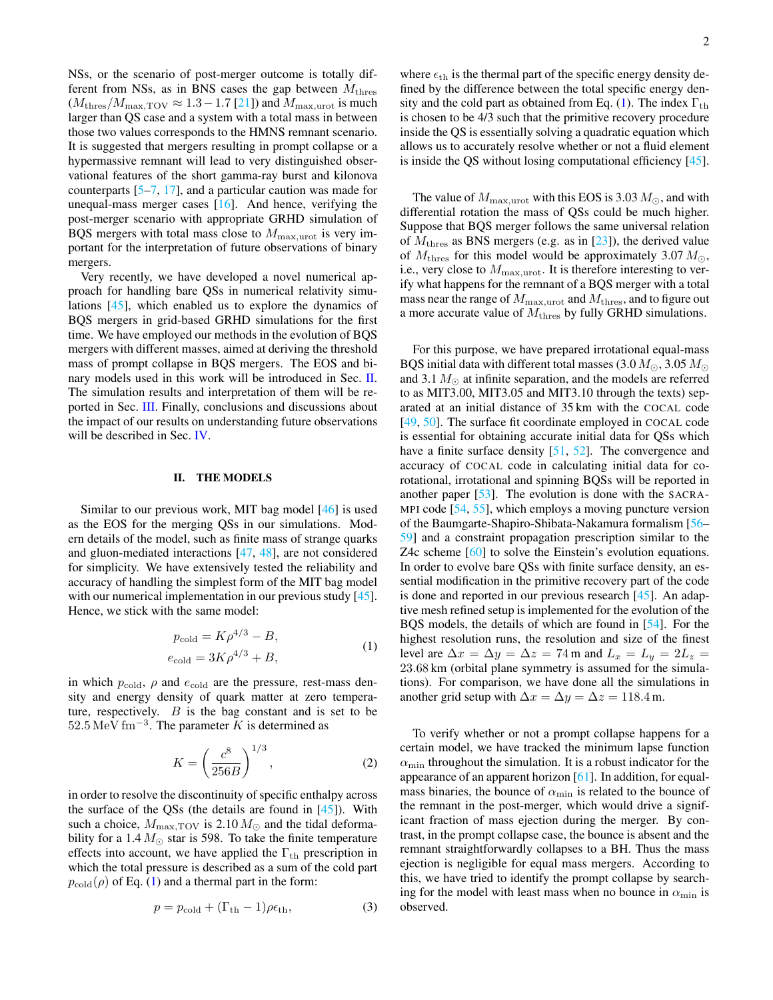NSs, or the scenario of post-merger outcome is totally different from NSs, as in BNS cases the gap between  $M<sub>thres</sub>$  $(M<sub>thres</sub>/M<sub>max,TOV</sub> \approx 1.3 - 1.7$  [\[21\]](#page-5-18)) and  $M<sub>max,urot</sub>$  is much larger than QS case and a system with a total mass in between those two values corresponds to the HMNS remnant scenario. It is suggested that mergers resulting in prompt collapse or a hypermassive remnant will lead to very distinguished observational features of the short gamma-ray burst and kilonova counterparts [\[5](#page-4-2)[–7,](#page-4-6) [17\]](#page-5-1), and a particular caution was made for unequal-mass merger cases  $[16]$ . And hence, verifying the post-merger scenario with appropriate GRHD simulation of BQS mergers with total mass close to  $M_{\text{max,unot}}$  is very important for the interpretation of future observations of binary mergers.

Very recently, we have developed a novel numerical approach for handling bare QSs in numerical relativity simulations [\[45\]](#page-5-19), which enabled us to explore the dynamics of BQS mergers in grid-based GRHD simulations for the first time. We have employed our methods in the evolution of BQS mergers with different masses, aimed at deriving the threshold mass of prompt collapse in BQS mergers. The EOS and binary models used in this work will be introduced in Sec. [II.](#page-1-0) The simulation results and interpretation of them will be reported in Sec. [III.](#page-2-0) Finally, conclusions and discussions about the impact of our results on understanding future observations will be described in Sec. [IV.](#page-4-8)

## <span id="page-1-0"></span>II. THE MODELS

Similar to our previous work, MIT bag model [\[46\]](#page-5-20) is used as the EOS for the merging QSs in our simulations. Modern details of the model, such as finite mass of strange quarks and gluon-mediated interactions [\[47,](#page-5-21) [48\]](#page-5-22), are not considered for simplicity. We have extensively tested the reliability and accuracy of handling the simplest form of the MIT bag model with our numerical implementation in our previous study [\[45\]](#page-5-19). Hence, we stick with the same model:

$$
p_{\text{cold}} = K\rho^{4/3} - B,
$$
  
\n
$$
e_{\text{cold}} = 3K\rho^{4/3} + B,
$$
\n(1)

<span id="page-1-1"></span>in which  $p_{\text{cold}}$ ,  $\rho$  and  $e_{\text{cold}}$  are the pressure, rest-mass density and energy density of quark matter at zero temperature, respectively.  $B$  is the bag constant and is set to be  $52.5 \,\mathrm{MeV}\,\mathrm{fm}^{-3}$ . The parameter K is determined as

$$
K = \left(\frac{c^8}{256B}\right)^{1/3},\tag{2}
$$

in order to resolve the discontinuity of specific enthalpy across the surface of the QSs (the details are found in [\[45\]](#page-5-19)). With such a choice,  $M_{\text{max,TOV}}$  is 2.10  $M_{\odot}$  and the tidal deformability for a 1.4  $M_{\odot}$  star is 598. To take the finite temperature effects into account, we have applied the  $\Gamma_{\text{th}}$  prescription in which the total pressure is described as a sum of the cold part  $p_{\text{cold}}(\rho)$  of Eq. [\(1\)](#page-1-1) and a thermal part in the form:

$$
p = p_{\text{cold}} + (\Gamma_{\text{th}} - 1)\rho \epsilon_{\text{th}}, \tag{3}
$$

where  $\epsilon_{\text{th}}$  is the thermal part of the specific energy density defined by the difference between the total specific energy den-sity and the cold part as obtained from Eq. [\(1\)](#page-1-1). The index  $\Gamma_{\text{th}}$ is chosen to be 4/3 such that the primitive recovery procedure inside the QS is essentially solving a quadratic equation which allows us to accurately resolve whether or not a fluid element is inside the QS without losing computational efficiency [\[45\]](#page-5-19).

The value of  $M_{\text{max,urot}}$  with this EOS is 3.03  $M_{\odot}$ , and with differential rotation the mass of QSs could be much higher. Suppose that BQS merger follows the same universal relation of  $M<sub>thres</sub>$  as BNS mergers (e.g. as in [\[23\]](#page-5-23)), the derived value of  $M<sub>thres</sub>$  for this model would be approximately 3.07  $M<sub>\odot</sub>$ , i.e., very close to  $M_{\text{max,urot}}$ . It is therefore interesting to verify what happens for the remnant of a BQS merger with a total mass near the range of  $M_{\text{max,unot}}$  and  $M_{\text{thres}}$ , and to figure out a more accurate value of  $M<sub>thres</sub>$  by fully GRHD simulations.

For this purpose, we have prepared irrotational equal-mass BQS initial data with different total masses (3.0  $M_{\odot}$ , 3.05  $M_{\odot}$ ) and 3.1  $M_{\odot}$  at infinite separation, and the models are referred to as MIT3.00, MIT3.05 and MIT3.10 through the texts) separated at an initial distance of 35 km with the COCAL code [\[49,](#page-5-24) [50\]](#page-5-25). The surface fit coordinate employed in COCAL code is essential for obtaining accurate initial data for QSs which have a finite surface density [\[51,](#page-5-26) [52\]](#page-5-27). The convergence and accuracy of COCAL code in calculating initial data for corotational, irrotational and spinning BQSs will be reported in another paper [\[53\]](#page-5-28). The evolution is done with the SACRA-MPI code [\[54,](#page-5-29) [55\]](#page-5-30), which employs a moving puncture version of the Baumgarte-Shapiro-Shibata-Nakamura formalism [\[56–](#page-5-31) [59\]](#page-5-32) and a constraint propagation prescription similar to the Z4c scheme [\[60\]](#page-5-33) to solve the Einstein's evolution equations. In order to evolve bare QSs with finite surface density, an essential modification in the primitive recovery part of the code is done and reported in our previous research  $[45]$ . An adaptive mesh refined setup is implemented for the evolution of the BQS models, the details of which are found in [\[54\]](#page-5-29). For the highest resolution runs, the resolution and size of the finest level are  $\Delta x = \Delta y = \Delta z = 74$  m and  $L_x = L_y = 2L_z$ 23.68 km (orbital plane symmetry is assumed for the simulations). For comparison, we have done all the simulations in another grid setup with  $\Delta x = \Delta y = \Delta z = 118.4$  m.

To verify whether or not a prompt collapse happens for a certain model, we have tracked the minimum lapse function  $\alpha_{\min}$  throughout the simulation. It is a robust indicator for the appearance of an apparent horizon [\[61\]](#page-5-34). In addition, for equalmass binaries, the bounce of  $\alpha_{\min}$  is related to the bounce of the remnant in the post-merger, which would drive a significant fraction of mass ejection during the merger. By contrast, in the prompt collapse case, the bounce is absent and the remnant straightforwardly collapses to a BH. Thus the mass ejection is negligible for equal mass mergers. According to this, we have tried to identify the prompt collapse by searching for the model with least mass when no bounce in  $\alpha_{\min}$  is observed.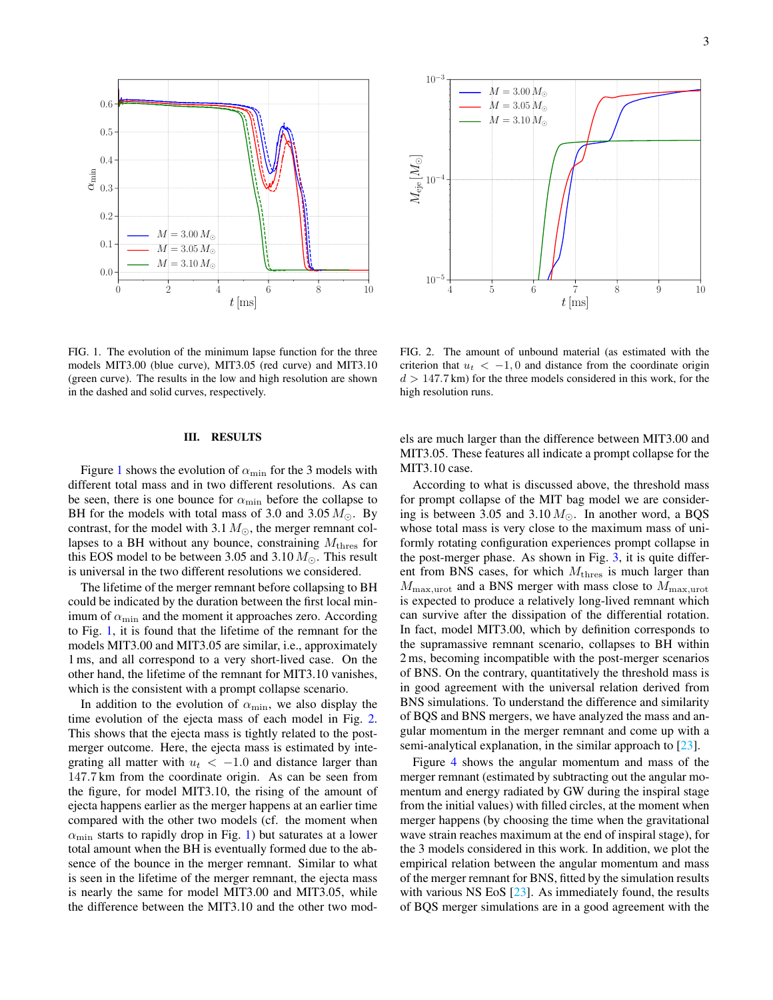



<span id="page-2-1"></span>FIG. 1. The evolution of the minimum lapse function for the three models MIT3.00 (blue curve), MIT3.05 (red curve) and MIT3.10 (green curve). The results in the low and high resolution are shown in the dashed and solid curves, respectively.

### <span id="page-2-0"></span>III. RESULTS

Figure [1](#page-2-1) shows the evolution of  $\alpha_{\min}$  for the 3 models with different total mass and in two different resolutions. As can be seen, there is one bounce for  $\alpha_{\min}$  before the collapse to BH for the models with total mass of 3.0 and 3.05  $M_{\odot}$ . By contrast, for the model with 3.1  $M_{\odot}$ , the merger remnant collapses to a BH without any bounce, constraining  $M_{\text{thres}}$  for this EOS model to be between 3.05 and 3.10  $M_{\odot}$ . This result is universal in the two different resolutions we considered.

The lifetime of the merger remnant before collapsing to BH could be indicated by the duration between the first local minimum of  $\alpha_{\min}$  and the moment it approaches zero. According to Fig. [1,](#page-2-1) it is found that the lifetime of the remnant for the models MIT3.00 and MIT3.05 are similar, i.e., approximately 1 ms, and all correspond to a very short-lived case. On the other hand, the lifetime of the remnant for MIT3.10 vanishes, which is the consistent with a prompt collapse scenario.

In addition to the evolution of  $\alpha_{\min}$ , we also display the time evolution of the ejecta mass of each model in Fig. [2.](#page-2-2) This shows that the ejecta mass is tightly related to the postmerger outcome. Here, the ejecta mass is estimated by integrating all matter with  $u_t < -1.0$  and distance larger than 147.7 km from the coordinate origin. As can be seen from the figure, for model MIT3.10, the rising of the amount of ejecta happens earlier as the merger happens at an earlier time compared with the other two models (cf. the moment when  $\alpha_{\text{min}}$  starts to rapidly drop in Fig. [1\)](#page-2-1) but saturates at a lower total amount when the BH is eventually formed due to the absence of the bounce in the merger remnant. Similar to what is seen in the lifetime of the merger remnant, the ejecta mass is nearly the same for model MIT3.00 and MIT3.05, while the difference between the MIT3.10 and the other two mod-

<span id="page-2-2"></span>FIG. 2. The amount of unbound material (as estimated with the criterion that  $u_t < -1, 0$  and distance from the coordinate origin  $d > 147.7$  km) for the three models considered in this work, for the high resolution runs.

els are much larger than the difference between MIT3.00 and MIT3.05. These features all indicate a prompt collapse for the MIT3.10 case.

According to what is discussed above, the threshold mass for prompt collapse of the MIT bag model we are considering is between 3.05 and 3.10  $M_{\odot}$ . In another word, a BQS whose total mass is very close to the maximum mass of uniformly rotating configuration experiences prompt collapse in the post-merger phase. As shown in Fig. [3,](#page-3-0) it is quite different from BNS cases, for which  $M<sub>thres</sub>$  is much larger than  $M_{\text{max,urot}}$  and a BNS merger with mass close to  $M_{\text{max,urot}}$ is expected to produce a relatively long-lived remnant which can survive after the dissipation of the differential rotation. In fact, model MIT3.00, which by definition corresponds to the supramassive remnant scenario, collapses to BH within 2 ms, becoming incompatible with the post-merger scenarios of BNS. On the contrary, quantitatively the threshold mass is in good agreement with the universal relation derived from BNS simulations. To understand the difference and similarity of BQS and BNS mergers, we have analyzed the mass and angular momentum in the merger remnant and come up with a semi-analytical explanation, in the similar approach to [\[23\]](#page-5-23).

Figure [4](#page-3-1) shows the angular momentum and mass of the merger remnant (estimated by subtracting out the angular momentum and energy radiated by GW during the inspiral stage from the initial values) with filled circles, at the moment when merger happens (by choosing the time when the gravitational wave strain reaches maximum at the end of inspiral stage), for the 3 models considered in this work. In addition, we plot the empirical relation between the angular momentum and mass of the merger remnant for BNS, fitted by the simulation results with various NS EoS [\[23\]](#page-5-23). As immediately found, the results of BQS merger simulations are in a good agreement with the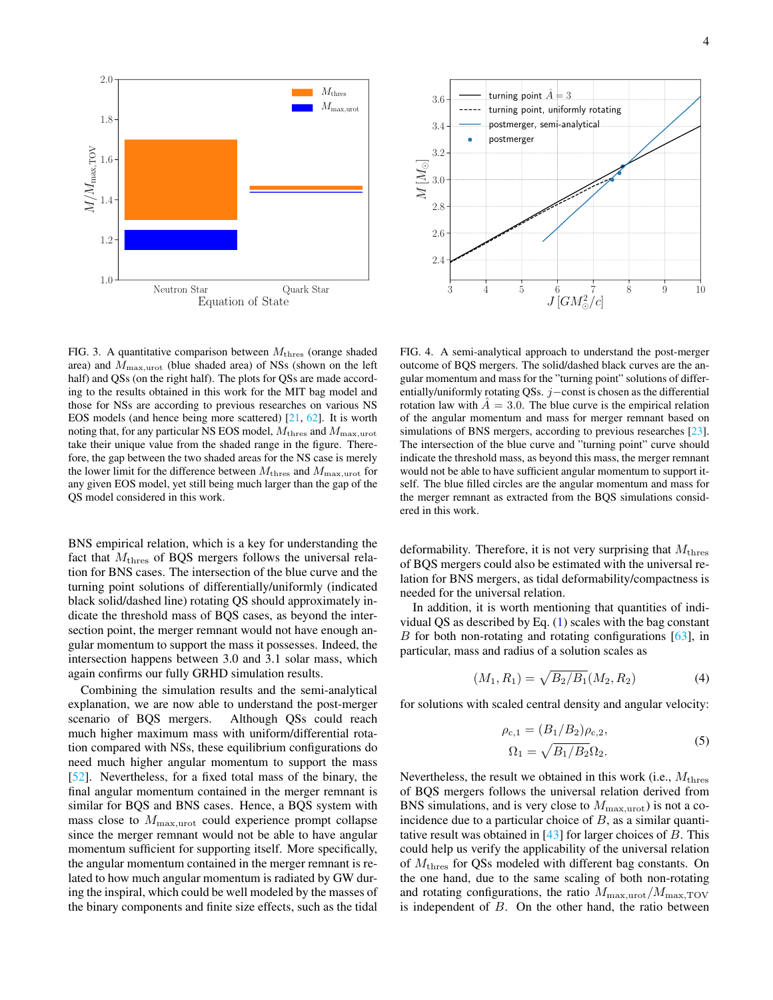

<span id="page-3-0"></span>FIG. 3. A quantitative comparison between  $M_{\text{thres}}$  (orange shaded area) and  $M_{\text{max,unot}}$  (blue shaded area) of NSs (shown on the left half) and QSs (on the right half). The plots for QSs are made according to the results obtained in this work for the MIT bag model and those for NSs are according to previous researches on various NS EOS models (and hence being more scattered) [\[21,](#page-5-18) [62\]](#page-5-35). It is worth noting that, for any particular NS EOS model,  $M_{\rm thres}$  and  $M_{\rm max,urot}$ take their unique value from the shaded range in the figure. Therefore, the gap between the two shaded areas for the NS case is merely the lower limit for the difference between  $M_{\text{thres}}$  and  $M_{\text{max,urot}}$  for any given EOS model, yet still being much larger than the gap of the QS model considered in this work.

BNS empirical relation, which is a key for understanding the fact that  $M_{\text{thres}}$  of BQS mergers follows the universal relation for BNS cases. The intersection of the blue curve and the turning point solutions of differentially/uniformly (indicated black solid/dashed line) rotating QS should approximately indicate the threshold mass of BQS cases, as beyond the intersection point, the merger remnant would not have enough angular momentum to support the mass it possesses. Indeed, the intersection happens between 3.0 and 3.1 solar mass, which again confirms our fully GRHD simulation results.

Combining the simulation results and the semi-analytical explanation, we are now able to understand the post-merger scenario of BQS mergers. Although QSs could reach much higher maximum mass with uniform/differential rotation compared with NSs, these equilibrium configurations do need much higher angular momentum to support the mass [\[52\]](#page-5-27). Nevertheless, for a fixed total mass of the binary, the final angular momentum contained in the merger remnant is similar for BQS and BNS cases. Hence, a BQS system with mass close to  $M_{\text{max,unot}}$  could experience prompt collapse since the merger remnant would not be able to have angular momentum sufficient for supporting itself. More specifically, the angular momentum contained in the merger remnant is related to how much angular momentum is radiated by GW during the inspiral, which could be well modeled by the masses of the binary components and finite size effects, such as the tidal



<span id="page-3-1"></span>FIG. 4. A semi-analytical approach to understand the post-merger outcome of BQS mergers. The solid/dashed black curves are the angular momentum and mass for the "turning point" solutions of differentially/uniformly rotating QSs. j−const is chosen as the differential rotation law with  $A = 3.0$ . The blue curve is the empirical relation of the angular momentum and mass for merger remnant based on simulations of BNS mergers, according to previous researches [\[23\]](#page-5-23). The intersection of the blue curve and "turning point" curve should indicate the threshold mass, as beyond this mass, the merger remnant would not be able to have sufficient angular momentum to support itself. The blue filled circles are the angular momentum and mass for the merger remnant as extracted from the BQS simulations considered in this work.

deformability. Therefore, it is not very surprising that  $M<sub>thres</sub>$ of BQS mergers could also be estimated with the universal relation for BNS mergers, as tidal deformability/compactness is needed for the universal relation.

In addition, it is worth mentioning that quantities of individual QS as described by Eq. [\(1\)](#page-1-1) scales with the bag constant B for both non-rotating and rotating configurations  $[63]$ , in particular, mass and radius of a solution scales as

$$
(M_1, R_1) = \sqrt{B_2/B_1}(M_2, R_2)
$$
 (4)

for solutions with scaled central density and angular velocity:

$$
\rho_{c,1} = (B_1/B_2)\rho_{c,2},
$$
  
\n
$$
\Omega_1 = \sqrt{B_1/B_2}\Omega_2.
$$
\n(5)

Nevertheless, the result we obtained in this work (i.e.,  $M<sub>thres</sub>$ of BQS mergers follows the universal relation derived from BNS simulations, and is very close to  $M_{\text{max,urot}}$ ) is not a coincidence due to a particular choice of  $B$ , as a similar quantitative result was obtained in  $[43]$  for larger choices of B. This could help us verify the applicability of the universal relation of  $M<sub>thres</sub>$  for QSs modeled with different bag constants. On the one hand, due to the same scaling of both non-rotating and rotating configurations, the ratio  $M_{\text{max,urot}}/M_{\text{max,TOV}}$ is independent of  $B$ . On the other hand, the ratio between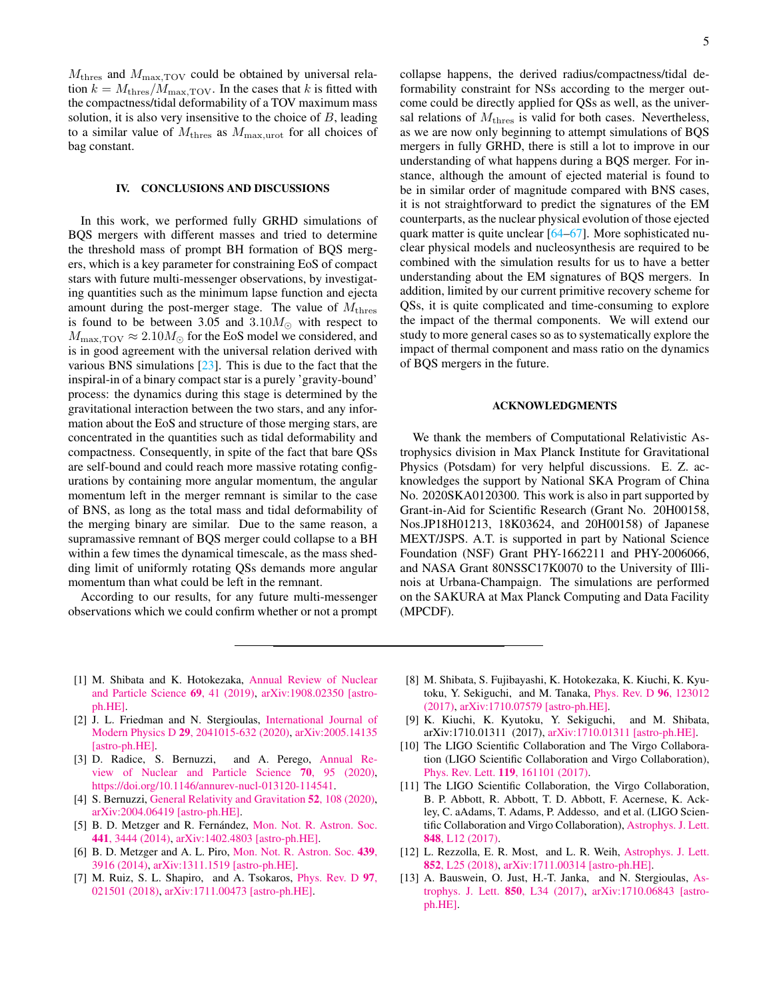$M<sub>thres</sub>$  and  $M<sub>max,TOV</sub>$  could be obtained by universal relation  $k = M_{\text{thres}}/M_{\text{max,TOV}}$ . In the cases that k is fitted with the compactness/tidal deformability of a TOV maximum mass solution, it is also very insensitive to the choice of  $B$ , leading to a similar value of  $M_{\text{thres}}$  as  $M_{\text{max,unot}}$  for all choices of bag constant.

### <span id="page-4-8"></span>IV. CONCLUSIONS AND DISCUSSIONS

In this work, we performed fully GRHD simulations of BQS mergers with different masses and tried to determine the threshold mass of prompt BH formation of BQS mergers, which is a key parameter for constraining EoS of compact stars with future multi-messenger observations, by investigating quantities such as the minimum lapse function and ejecta amount during the post-merger stage. The value of  $M<sub>thres</sub>$ is found to be between 3.05 and  $3.10M_{\odot}$  with respect to  $M_{\text{max,TOV}} \approx 2.10 M_{\odot}$  for the EoS model we considered, and is in good agreement with the universal relation derived with various BNS simulations  $[23]$ . This is due to the fact that the inspiral-in of a binary compact star is a purely 'gravity-bound' process: the dynamics during this stage is determined by the gravitational interaction between the two stars, and any information about the EoS and structure of those merging stars, are concentrated in the quantities such as tidal deformability and compactness. Consequently, in spite of the fact that bare QSs are self-bound and could reach more massive rotating configurations by containing more angular momentum, the angular momentum left in the merger remnant is similar to the case of BNS, as long as the total mass and tidal deformability of the merging binary are similar. Due to the same reason, a supramassive remnant of BQS merger could collapse to a BH within a few times the dynamical timescale, as the mass shedding limit of uniformly rotating QSs demands more angular momentum than what could be left in the remnant.

According to our results, for any future multi-messenger observations which we could confirm whether or not a prompt collapse happens, the derived radius/compactness/tidal deformability constraint for NSs according to the merger outcome could be directly applied for QSs as well, as the universal relations of  $M<sub>thres</sub>$  is valid for both cases. Nevertheless, as we are now only beginning to attempt simulations of BQS mergers in fully GRHD, there is still a lot to improve in our understanding of what happens during a BQS merger. For instance, although the amount of ejected material is found to be in similar order of magnitude compared with BNS cases, it is not straightforward to predict the signatures of the EM counterparts, as the nuclear physical evolution of those ejected quark matter is quite unclear [\[64–](#page-5-37)[67\]](#page-5-38). More sophisticated nuclear physical models and nucleosynthesis are required to be combined with the simulation results for us to have a better understanding about the EM signatures of BQS mergers. In addition, limited by our current primitive recovery scheme for QSs, it is quite complicated and time-consuming to explore the impact of the thermal components. We will extend our study to more general cases so as to systematically explore the impact of thermal component and mass ratio on the dynamics of BQS mergers in the future.

#### ACKNOWLEDGMENTS

We thank the members of Computational Relativistic Astrophysics division in Max Planck Institute for Gravitational Physics (Potsdam) for very helpful discussions. E. Z. acknowledges the support by National SKA Program of China No. 2020SKA0120300. This work is also in part supported by Grant-in-Aid for Scientific Research (Grant No. 20H00158, Nos.JP18H01213, 18K03624, and 20H00158) of Japanese MEXT/JSPS. A.T. is supported in part by National Science Foundation (NSF) Grant PHY-1662211 and PHY-2006066, and NASA Grant 80NSSC17K0070 to the University of Illinois at Urbana-Champaign. The simulations are performed on the SAKURA at Max Planck Computing and Data Facility (MPCDF).

- <span id="page-4-0"></span>[1] M. Shibata and K. Hotokezaka, [Annual Review of Nuclear](http://dx.doi.org/10.1146/annurev-nucl-101918-023625) [and Particle Science](http://dx.doi.org/10.1146/annurev-nucl-101918-023625) 69, 41 (2019), [arXiv:1908.02350 \[astro](http://arxiv.org/abs/1908.02350)[ph.HE\].](http://arxiv.org/abs/1908.02350)
- [2] J. L. Friedman and N. Stergioulas, [International Journal of](http://dx.doi.org/10.1142/S0218271820410151) Modern Physics D 29[, 2041015-632 \(2020\),](http://dx.doi.org/10.1142/S0218271820410151) [arXiv:2005.14135](http://arxiv.org/abs/2005.14135) [\[astro-ph.HE\].](http://arxiv.org/abs/2005.14135)
- [3] D. Radice, S. Bernuzzi, and A. Perego, [Annual Re](http://dx.doi.org/10.1146/annurev-nucl-013120-114541)[view of Nuclear and Particle Science](http://dx.doi.org/10.1146/annurev-nucl-013120-114541) 70, 95 (2020), [https://doi.org/10.1146/annurev-nucl-013120-114541.](http://arxiv.org/abs/https://doi.org/10.1146/annurev-nucl-013120-114541)
- <span id="page-4-1"></span>[4] S. Bernuzzi, [General Relativity and Gravitation](http://dx.doi.org/10.1007/s10714-020-02752-5) 52, 108 (2020), [arXiv:2004.06419 \[astro-ph.HE\].](http://arxiv.org/abs/2004.06419)
- <span id="page-4-2"></span>[5] B. D. Metzger and R. Fernández, [Mon. Not. R. Astron. Soc.](http://dx.doi.org/10.1093/mnras/stu802) 441[, 3444 \(2014\),](http://dx.doi.org/10.1093/mnras/stu802) [arXiv:1402.4803 \[astro-ph.HE\].](http://arxiv.org/abs/1402.4803)
- [6] B. D. Metzger and A. L. Piro, [Mon. Not. R. Astron. Soc.](http://dx.doi.org/10.1093/mnras/stu247) 439, [3916 \(2014\),](http://dx.doi.org/10.1093/mnras/stu247) [arXiv:1311.1519 \[astro-ph.HE\].](http://arxiv.org/abs/1311.1519)
- <span id="page-4-6"></span>[7] M. Ruiz, S. L. Shapiro, and A. Tsokaros, [Phys. Rev. D](http://dx.doi.org/10.1103/PhysRevD.97.021501) 97, [021501 \(2018\),](http://dx.doi.org/10.1103/PhysRevD.97.021501) [arXiv:1711.00473 \[astro-ph.HE\].](http://arxiv.org/abs/1711.00473)
- [8] M. Shibata, S. Fujibayashi, K. Hotokezaka, K. Kiuchi, K. Kyutoku, Y. Sekiguchi, and M. Tanaka, [Phys. Rev. D](http://dx.doi.org/10.1103/PhysRevD.96.123012) 96, 123012 [\(2017\),](http://dx.doi.org/10.1103/PhysRevD.96.123012) [arXiv:1710.07579 \[astro-ph.HE\].](http://arxiv.org/abs/1710.07579)
- <span id="page-4-3"></span>[9] K. Kiuchi, K. Kyutoku, Y. Sekiguchi, and M. Shibata, arXiv:1710.01311 (2017), [arXiv:1710.01311 \[astro-ph.HE\].](http://arxiv.org/abs/1710.01311)
- <span id="page-4-4"></span>[10] The LIGO Scientific Collaboration and The Virgo Collaboration (LIGO Scientific Collaboration and Virgo Collaboration), Phys. Rev. Lett. 119[, 161101 \(2017\).](http://dx.doi.org/10.1103/PhysRevLett.119.161101)
- <span id="page-4-5"></span>[11] The LIGO Scientific Collaboration, the Virgo Collaboration, B. P. Abbott, R. Abbott, T. D. Abbott, F. Acernese, K. Ackley, C. aAdams, T. Adams, P. Addesso, and et al. (LIGO Scientific Collaboration and Virgo Collaboration), [Astrophys. J. Lett.](http://stacks.iop.org/2041-8205/848/i=2/a=L12) 848[, L12 \(2017\).](http://stacks.iop.org/2041-8205/848/i=2/a=L12)
- <span id="page-4-7"></span>[12] L. Rezzolla, E. R. Most, and L. R. Weih, [Astrophys. J. Lett.](http://dx.doi.org/10.3847/2041-8213/aaa401) 852[, L25 \(2018\),](http://dx.doi.org/10.3847/2041-8213/aaa401) [arXiv:1711.00314 \[astro-ph.HE\].](http://arxiv.org/abs/1711.00314)
- [13] A. Bauswein, O. Just, H.-T. Janka, and N. Stergioulas, [As](http://dx.doi.org/10.3847/2041-8213/aa9994)[trophys. J. Lett.](http://dx.doi.org/10.3847/2041-8213/aa9994) 850, L34 (2017), [arXiv:1710.06843 \[astro](http://arxiv.org/abs/1710.06843)[ph.HE\].](http://arxiv.org/abs/1710.06843)